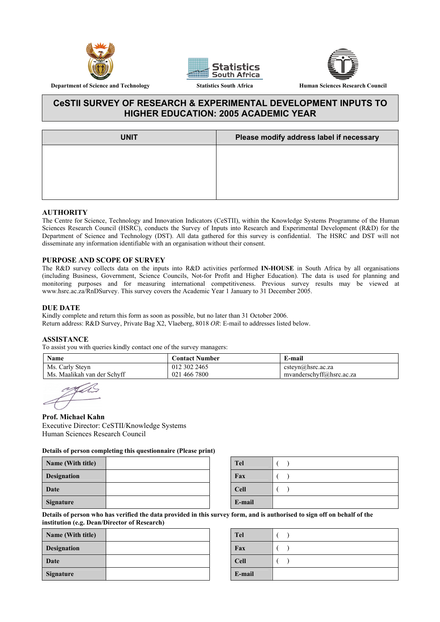





# **CeSTII SURVEY OF RESEARCH & EXPERIMENTAL DEVELOPMENT INPUTS TO HIGHER EDUCATION: 2005 ACADEMIC YEAR**

| <b>UNIT</b> | Please modify address label if necessary |
|-------------|------------------------------------------|
|             |                                          |
|             |                                          |
|             |                                          |
|             |                                          |

#### **AUTHORITY**

The Centre for Science, Technology and Innovation Indicators (CeSTII), within the Knowledge Systems Programme of the Human Sciences Research Council (HSRC), conducts the Survey of Inputs into Research and Experimental Development (R&D) for the Department of Science and Technology (DST). All data gathered for this survey is confidential. The HSRC and DST will not disseminate any information identifiable with an organisation without their consent.

#### **PURPOSE AND SCOPE OF SURVEY**

The R&D survey collects data on the inputs into R&D activities performed **IN-HOUSE** in South Africa by all organisations (including Business, Government, Science Councils, Not-for Profit and Higher Education). The data is used for planning and monitoring purposes and for measuring international competitiveness. Previous survey results may be viewed at www.hsrc.ac.za/RnDSurvey. This survey covers the Academic Year 1 January to 31 December 2005.

#### **DUE DATE**

Kindly complete and return this form as soon as possible, but no later than 31 October 2006. Return address: R&D Survey, Private Bag X2, Vlaeberg, 8018 *OR*: E-mail to addresses listed below.

#### **ASSISTANCE**

To assist you with queries kindly contact one of the survey managers:

| Name                        | Contact Number | E-mail                   |
|-----------------------------|----------------|--------------------------|
| Ms. Carly Steyn             | 012 302 2465   | $csteyn(a)$ hsrc.ac.za   |
| Ms. Maalikah van der Schyff | 021 466 7800   | myanderschyff@hsrc.ac.za |

#### **Prof. Michael Kahn**

Executive Director: CeSTII/Knowledge Systems Human Sciences Research Council

#### **Details of person completing this questionnaire (Please print)**

| Name (With title)  |  | <b>Tel</b>  |  |
|--------------------|--|-------------|--|
| <b>Designation</b> |  | Fax         |  |
| Date               |  | <b>Cell</b> |  |
| <b>Signature</b>   |  | E-mail      |  |

| Tel         |  |
|-------------|--|
| Fax         |  |
| <b>Cell</b> |  |
| E-mail      |  |

**Details of person who has verified the data provided in this survey form, and is authorised to sign off on behalf of the institution (e.g. Dean/Director of Research)** 

| Name (With title)  | <b>Tel</b>  |  |
|--------------------|-------------|--|
| <b>Designation</b> | Fax         |  |
| <b>Date</b>        | <b>Cell</b> |  |
| Signature          | E-mail      |  |

| Tel         |  |
|-------------|--|
| Fax         |  |
| <b>Cell</b> |  |
| E-mail      |  |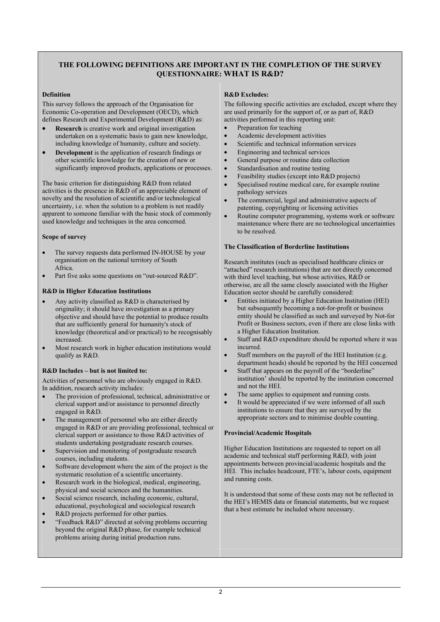## **THE FOLLOWING DEFINITIONS ARE IMPORTANT IN THE COMPLETION OF THE SURVEY QUESTIONNAIRE: WHAT IS R&D?**

#### **Definition**

This survey follows the approach of the Organisation for Economic Co-operation and Development (OECD), which defines Research and Experimental Development (R&D) as:

- **Research** is creative work and original investigation undertaken on a systematic basis to gain new knowledge, including knowledge of humanity, culture and society.
- **Development** is the application of research findings or other scientific knowledge for the creation of new or significantly improved products, applications or processes.

The basic criterion for distinguishing R&D from related activities is the presence in R&D of an appreciable element of novelty and the resolution of scientific and/or technological uncertainty, i.e. when the solution to a problem is not readily apparent to someone familiar with the basic stock of commonly used knowledge and techniques in the area concerned.

#### **Scope of survey**

- The survey requests data performed IN-HOUSE by your organisation on the national territory of South Africa.
- Part five asks some questions on "out-sourced R&D".

#### **R&D in Higher Education Institutions**

- Any activity classified as R&D is characterised by originality; it should have investigation as a primary objective and should have the potential to produce results that are sufficiently general for humanity's stock of knowledge (theoretical and/or practical) to be recognisably increased.
- Most research work in higher education institutions would qualify as R&D.

#### **R&D Includes – but is not limited to:**

Activities of personnel who are obviously engaged in R&D. In addition, research activity includes:

- The provision of professional, technical, administrative or clerical support and/or assistance to personnel directly engaged in R&D.
- The management of personnel who are either directly engaged in R&D or are providing professional, technical or clerical support or assistance to those R&D activities of students undertaking postgraduate research courses.
- Supervision and monitoring of postgraduate research courses, including students.
- Software development where the aim of the project is the systematic resolution of a scientific uncertainty.
- Research work in the biological, medical, engineering, physical and social sciences and the humanities.
- Social science research, including economic, cultural, educational, psychological and sociological research
- R&D projects performed for other parties.
- "Feedback R&D" directed at solving problems occurring beyond the original R&D phase, for example technical problems arising during initial production runs.

#### **R&D Excludes:**

The following specific activities are excluded, except where they are used primarily for the support of, or as part of, R&D activities performed in this reporting unit:

- Preparation for teaching
- Academic development activities
- Scientific and technical information services
- Engineering and technical services
- General purpose or routine data collection
- Standardisation and routine testing
- Feasibility studies (except into R&D projects)
- Specialised routine medical care, for example routine pathology services
- The commercial, legal and administrative aspects of patenting, copyrighting or licensing activities
- Routine computer programming, systems work or software maintenance where there are no technological uncertainties to be resolved.

#### **The Classification of Borderline Institutions**

Research institutes (such as specialised healthcare clinics or "attached" research institutions) that are not directly concerned with third level teaching, but whose activities, R&D or otherwise, are all the same closely associated with the Higher Education sector should be carefully considered:

- Entities initiated by a Higher Education Institution (HEI) but subsequently becoming a not-for-profit or business entity should be classified as such and surveyed by Not-for Profit or Business sectors, even if there are close links with a Higher Education Institution.
- Staff and R&D expenditure should be reported where it was incurred.
- Staff members on the payroll of the HEI Institution (e.g. department heads) should be reported by the HEI concerned
- Staff that appears on the payroll of the "borderline" institution' should be reported by the institution concerned and not the HEI.
- The same applies to equipment and running costs.
- It would be appreciated if we were informed of all such institutions to ensure that they are surveyed by the appropriate sectors and to minimise double counting.

#### **Provincial/Academic Hospitals**

Higher Education Institutions are requested to report on all academic and technical staff performing R&D, with joint appointments between provincial/academic hospitals and the HEI. This includes headcount, FTE's, labour costs, equipment and running costs.

It is understood that some of these costs may not be reflected in the HEI's HEMIS data or financial statements, but we request that a best estimate be included where necessary.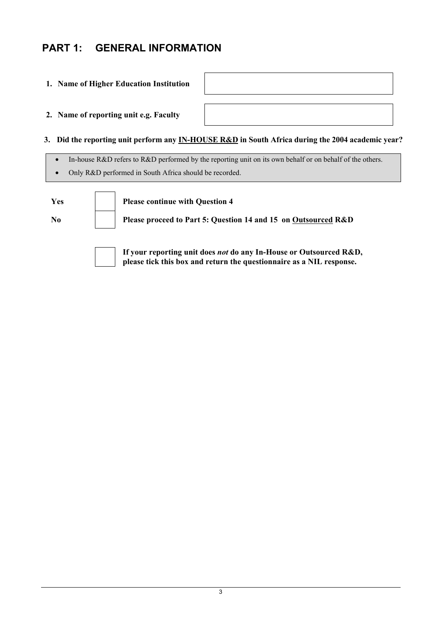# **PART 1: GENERAL INFORMATION**

## **1. Name of Higher Education Institution**

**2. Name of reporting unit e.g. Faculty** 

 **3. Did the reporting unit perform any IN-HOUSE R&D in South Africa during the 2004 academic year?** 

**please tick this box and return the questionnaire as a NIL response.** 

- In-house R&D refers to R&D performed by the reporting unit on its own behalf or on behalf of the others.
- Only R&D performed in South Africa should be recorded.

| Yes            | Please continue with Question 4                                    |
|----------------|--------------------------------------------------------------------|
| N <sub>0</sub> | Please proceed to Part 5: Question 14 and 15 on Outsourced R&D     |
|                | If your reporting unit does not do any In-House or Outsourced R&D, |



3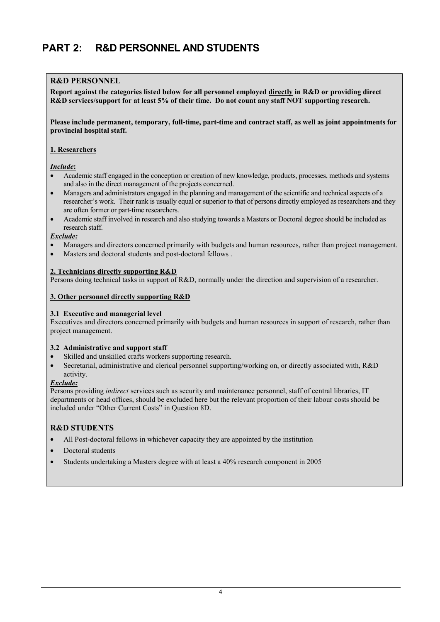# **PART 2: R&D PERSONNEL AND STUDENTS**

## **R&D PERSONNEL**

**Report against the categories listed below for all personnel employed directly in R&D or providing direct R&D services/support for at least 5% of their time. Do not count any staff NOT supporting research.** 

**Please include permanent, temporary, full-time, part-time and contract staff, as well as joint appointments for provincial hospital staff.** 

### **1. Researchers**

#### *Include***:**

- Academic staff engaged in the conception or creation of new knowledge, products, processes, methods and systems and also in the direct management of the projects concerned.
- Managers and administrators engaged in the planning and management of the scientific and technical aspects of a researcher's work. Their rank is usually equal or superior to that of persons directly employed as researchers and they are often former or part-time researchers.
- Academic staff involved in research and also studying towards a Masters or Doctoral degree should be included as research staff.

#### *Exclude:*

- Managers and directors concerned primarily with budgets and human resources, rather than project management.
- Masters and doctoral students and post-doctoral fellows .

#### **2. Technicians directly supporting R&D**

Persons doing technical tasks in support of R&D, normally under the direction and supervision of a researcher.

#### **3. Other personnel directly supporting R&D**

### **3.1 Executive and managerial level**

Executives and directors concerned primarily with budgets and human resources in support of research, rather than project management.

## **3.2 Administrative and support staff**

- Skilled and unskilled crafts workers supporting research.
- Secretarial, administrative and clerical personnel supporting/working on, or directly associated with, R&D activity.

#### *Exclude:*

Persons providing *indirect* services such as security and maintenance personnel, staff of central libraries, IT departments or head offices, should be excluded here but the relevant proportion of their labour costs should be included under "Other Current Costs" in Question 8D.

## **R&D STUDENTS**

- All Post-doctoral fellows in whichever capacity they are appointed by the institution
- Doctoral students
- Students undertaking a Masters degree with at least a 40% research component in 2005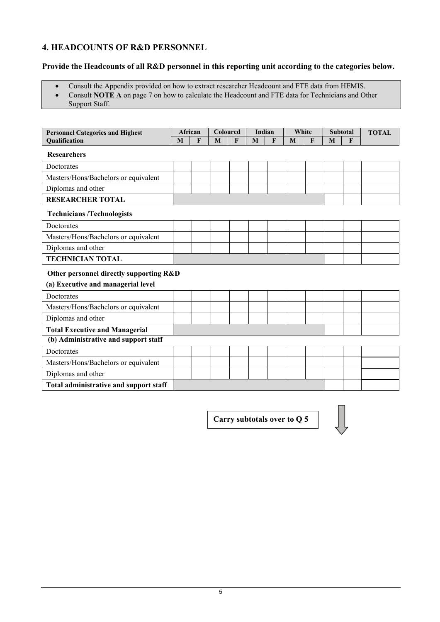## **4. HEADCOUNTS OF R&D PERSONNEL**

## **Provide the Headcounts of all R&D personnel in this reporting unit according to the categories below.**

- Consult the Appendix provided on how to extract researcher Headcount and FTE data from HEMIS.
- Consult **NOTE A** on page 7 on how to calculate the Headcount and FTE data for Technicians and Other
- Support Staff.

| <b>Personnel Categories and Highest</b> |   | African      | Coloured |   | Indian |   | White |   | <b>Subtotal</b> |   | <b>TOTAL</b> |
|-----------------------------------------|---|--------------|----------|---|--------|---|-------|---|-----------------|---|--------------|
| Qualification                           | M | $\mathbf{F}$ | M        | F | M      | F | M     | F | M               | F |              |
| <b>Researchers</b>                      |   |              |          |   |        |   |       |   |                 |   |              |
| Doctorates                              |   |              |          |   |        |   |       |   |                 |   |              |
| Masters/Hons/Bachelors or equivalent    |   |              |          |   |        |   |       |   |                 |   |              |
| Diplomas and other                      |   |              |          |   |        |   |       |   |                 |   |              |
| <b>RESEARCHER TOTAL</b>                 |   |              |          |   |        |   |       |   |                 |   |              |
| <b>Technicians /Technologists</b>       |   |              |          |   |        |   |       |   |                 |   |              |
| Doctorates                              |   |              |          |   |        |   |       |   |                 |   |              |
| Masters/Hons/Bachelors or equivalent    |   |              |          |   |        |   |       |   |                 |   |              |
| Diplomas and other                      |   |              |          |   |        |   |       |   |                 |   |              |
| <b>TECHNICIAN TOTAL</b>                 |   |              |          |   |        |   |       |   |                 |   |              |
| Other personnel directly supporting R&D |   |              |          |   |        |   |       |   |                 |   |              |
| (a) Executive and managerial level      |   |              |          |   |        |   |       |   |                 |   |              |
| <b>Doctorates</b>                       |   |              |          |   |        |   |       |   |                 |   |              |
| Masters/Hons/Bachelors or equivalent    |   |              |          |   |        |   |       |   |                 |   |              |
| Diplomas and other                      |   |              |          |   |        |   |       |   |                 |   |              |
| <b>Total Executive and Managerial</b>   |   |              |          |   |        |   |       |   |                 |   |              |
| (b) Administrative and support staff    |   |              |          |   |        |   |       |   |                 |   |              |
| Doctorates                              |   |              |          |   |        |   |       |   |                 |   |              |
| Masters/Hons/Bachelors or equivalent    |   |              |          |   |        |   |       |   |                 |   |              |
| Diplomas and other                      |   |              |          |   |        |   |       |   |                 |   |              |
| Total administrative and support staff  |   |              |          |   |        |   |       |   |                 |   |              |

**Carry subtotals over to Q 5** 

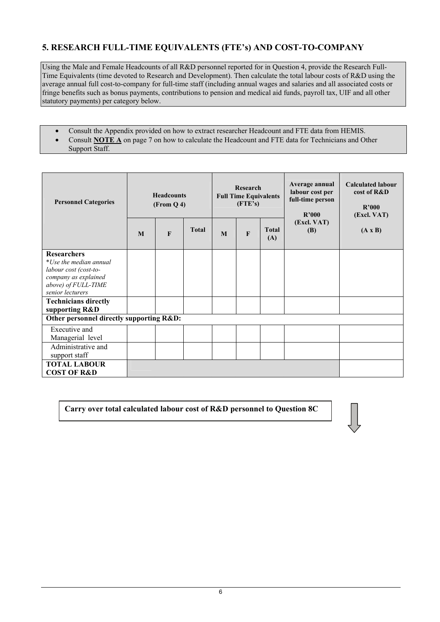# **5. RESEARCH FULL-TIME EQUIVALENTS (FTE's) AND COST-TO-COMPANY**

Using the Male and Female Headcounts of all R&D personnel reported for in Question 4, provide the Research Full-Time Equivalents (time devoted to Research and Development). Then calculate the total labour costs of R&D using the average annual full cost-to-company for full-time staff (including annual wages and salaries and all associated costs or fringe benefits such as bonus payments, contributions to pension and medical aid funds, payroll tax, UIF and all other statutory payments) per category below.

- Consult the Appendix provided on how to extract researcher Headcount and FTE data from HEMIS.
- Consult **NOTE A** on page 7 on how to calculate the Headcount and FTE data for Technicians and Other Support Staff.

| <b>Personnel Categories</b>                                                                                                              | <b>Headcounts</b><br>(From Q 4) |                                                                                                       |  | Research<br><b>Full Time Equivalents</b><br>(FTE's) | Average annual<br>labour cost per<br>full-time person<br>R'000 | <b>Calculated labour</b><br>cost of R&D<br>R'000<br>(Excl. VAT) |  |  |
|------------------------------------------------------------------------------------------------------------------------------------------|---------------------------------|-------------------------------------------------------------------------------------------------------|--|-----------------------------------------------------|----------------------------------------------------------------|-----------------------------------------------------------------|--|--|
|                                                                                                                                          | M                               | (Excl. VAT)<br><b>Total</b><br><b>Total</b><br><b>(B)</b><br>$\mathbf{F}$<br>$\mathbf{F}$<br>M<br>(A) |  | $(A \times B)$                                      |                                                                |                                                                 |  |  |
| <b>Researchers</b><br>*Use the median annual<br>labour cost (cost-to-<br>company as explained<br>above) of FULL-TIME<br>senior lecturers |                                 |                                                                                                       |  |                                                     |                                                                |                                                                 |  |  |
| <b>Technicians directly</b><br>supporting R&D                                                                                            |                                 |                                                                                                       |  |                                                     |                                                                |                                                                 |  |  |
| Other personnel directly supporting R&D:                                                                                                 |                                 |                                                                                                       |  |                                                     |                                                                |                                                                 |  |  |
| Executive and<br>Managerial level                                                                                                        |                                 |                                                                                                       |  |                                                     |                                                                |                                                                 |  |  |
| Administrative and<br>support staff                                                                                                      |                                 |                                                                                                       |  |                                                     |                                                                |                                                                 |  |  |
| <b>TOTAL LABOUR</b><br><b>COST OF R&amp;D</b>                                                                                            |                                 |                                                                                                       |  |                                                     |                                                                |                                                                 |  |  |

**Carry over total calculated labour cost of R&D personnel to Question 8C**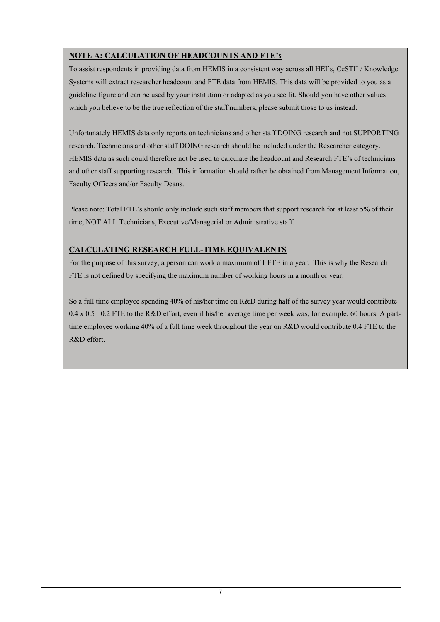# **NOTE A: CALCULATION OF HEADCOUNTS AND FTE's**

To assist respondents in providing data from HEMIS in a consistent way across all HEI's, CeSTII / Knowledge Systems will extract researcher headcount and FTE data from HEMIS, This data will be provided to you as a guideline figure and can be used by your institution or adapted as you see fit. Should you have other values which you believe to be the true reflection of the staff numbers, please submit those to us instead.

Unfortunately HEMIS data only reports on technicians and other staff DOING research and not SUPPORTING research. Technicians and other staff DOING research should be included under the Researcher category. HEMIS data as such could therefore not be used to calculate the headcount and Research FTE's of technicians and other staff supporting research. This information should rather be obtained from Management Information, Faculty Officers and/or Faculty Deans.

Please note: Total FTE's should only include such staff members that support research for at least 5% of their time, NOT ALL Technicians, Executive/Managerial or Administrative staff.

# **CALCULATING RESEARCH FULL-TIME EQUIVALENTS**

For the purpose of this survey, a person can work a maximum of 1 FTE in a year. This is why the Research FTE is not defined by specifying the maximum number of working hours in a month or year.

So a full time employee spending 40% of his/her time on R&D during half of the survey year would contribute  $0.4 \times 0.5 = 0.2$  FTE to the R&D effort, even if his/her average time per week was, for example, 60 hours. A parttime employee working 40% of a full time week throughout the year on R&D would contribute 0.4 FTE to the R&D effort.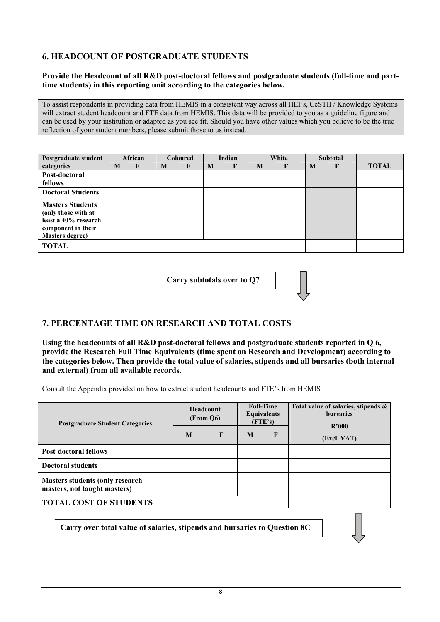# **6. HEADCOUNT OF POSTGRADUATE STUDENTS**

## **Provide the Headcount of all R&D post-doctoral fellows and postgraduate students (full-time and parttime students) in this reporting unit according to the categories below.**

To assist respondents in providing data from HEMIS in a consistent way across all HEI's, CeSTII / Knowledge Systems will extract student headcount and FTE data from HEMIS. This data will be provided to you as a guideline figure and can be used by your institution or adapted as you see fit. Should you have other values which you believe to be the true reflection of your student numbers, please submit those to us instead.

| Postgraduate student                                                                                                   |   | African |   | <b>Coloured</b> |   | Indian       |   | White |   | <b>Subtotal</b> |              |
|------------------------------------------------------------------------------------------------------------------------|---|---------|---|-----------------|---|--------------|---|-------|---|-----------------|--------------|
| categories                                                                                                             | M | F       | M |                 | M | $\mathbf{F}$ | M |       | M | F               | <b>TOTAL</b> |
| Post-doctoral                                                                                                          |   |         |   |                 |   |              |   |       |   |                 |              |
| fellows                                                                                                                |   |         |   |                 |   |              |   |       |   |                 |              |
| <b>Doctoral Students</b>                                                                                               |   |         |   |                 |   |              |   |       |   |                 |              |
| <b>Masters Students</b><br>(only those with at<br>least a 40% research<br>component in their<br><b>Masters degree)</b> |   |         |   |                 |   |              |   |       |   |                 |              |
| <b>TOTAL</b>                                                                                                           |   |         |   |                 |   |              |   |       |   |                 |              |

**Carry subtotals over to Q7** 

# **7. PERCENTAGE TIME ON RESEARCH AND TOTAL COSTS**

**Using the headcounts of all R&D post-doctoral fellows and postgraduate students reported in Q 6, provide the Research Full Time Equivalents (time spent on Research and Development) according to the categories below. Then provide the total value of salaries, stipends and all bursaries (both internal and external) from all available records.** 

Consult the Appendix provided on how to extract student headcounts and FTE's from HEMIS

| <b>Postgraduate Student Categories</b>                                  |   | <b>Headcount</b><br>(From Q6) |   | <b>Full-Time</b><br><b>Equivalents</b><br>(FTE's) | Total value of salaries, stipends &<br><b>bursaries</b><br>R'000 |
|-------------------------------------------------------------------------|---|-------------------------------|---|---------------------------------------------------|------------------------------------------------------------------|
|                                                                         | M | $\mathbf{F}$                  | M | F                                                 | (Excl. VAT)                                                      |
| <b>Post-doctoral fellows</b>                                            |   |                               |   |                                                   |                                                                  |
| <b>Doctoral students</b>                                                |   |                               |   |                                                   |                                                                  |
| <b>Masters students (only research)</b><br>masters, not taught masters) |   |                               |   |                                                   |                                                                  |
| <b>TOTAL COST OF STUDENTS</b>                                           |   |                               |   |                                                   |                                                                  |

**Carry over total value of salaries, stipends and bursaries to Question 8C**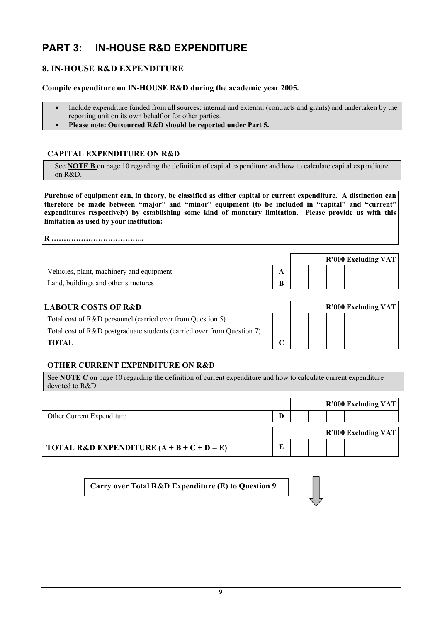# **PART 3: IN-HOUSE R&D EXPENDITURE**

# **8. IN-HOUSE R&D EXPENDITURE**

**Compile expenditure on IN-HOUSE R&D during the academic year 2005.** 

- Include expenditure funded from all sources: internal and external (contracts and grants) and undertaken by the reporting unit on its own behalf or for other parties.
- **Please note: Outsourced R&D should be reported under Part 5.**

## **CAPITAL EXPENDITURE ON R&D**

See **NOTE B** on page 10 regarding the definition of capital expenditure and how to calculate capital expenditure on R&D.

**Purchase of equipment can, in theory, be classified as either capital or current expenditure. A distinction can therefore be made between "major" and "minor" equipment (to be included in "capital" and "current" expenditures respectively) by establishing some kind of monetary limitation. Please provide us with this limitation as used by your institution:** 

**R ………………………………..** 

|                                          |   |  |  | $R'000$ Excluding VAT |  |
|------------------------------------------|---|--|--|-----------------------|--|
| Vehicles, plant, machinery and equipment | л |  |  |                       |  |
| Land, buildings and other structures     | B |  |  |                       |  |

| <b>LABOUR COSTS OF R&amp;D</b>                                         | $R'000$ Excluding VAT |  |  |  |  |
|------------------------------------------------------------------------|-----------------------|--|--|--|--|
| Total cost of R&D personnel (carried over from Question 5)             |                       |  |  |  |  |
| Total cost of R&D postgraduate students (carried over from Question 7) |                       |  |  |  |  |
| <b>TOTAL</b>                                                           |                       |  |  |  |  |

## **OTHER CURRENT EXPENDITURE ON R&D**

See **NOTE C** on page 10 regarding the definition of current expenditure and how to calculate current expenditure devoted to R&D.

|                           |   |  |  | <b>R'000 Excluding VAT</b> |  |
|---------------------------|---|--|--|----------------------------|--|
| Other Current Expenditure | D |  |  |                            |  |
|                           |   |  |  |                            |  |
|                           |   |  |  | <b>R'000 Excluding VAT</b> |  |

**Carry over Total R&D Expenditure (E) to Question 9**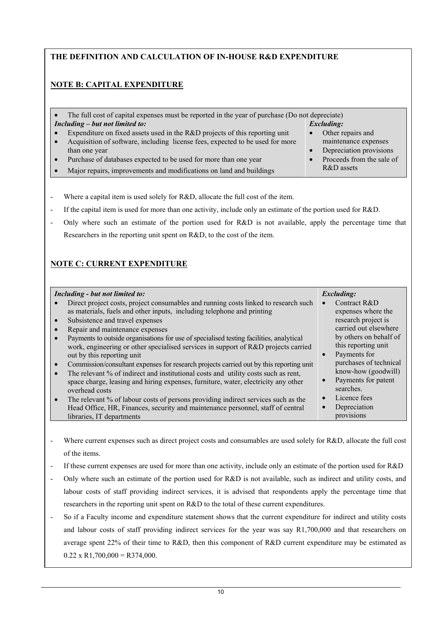## **THE DEFINITION AND CALCULATION OF IN-HOUSE R&D EXPENDITURE**

# **NOTE B: CAPITAL EXPENDITURE**

| The full cost of capital expenses must be reported in the year of purchase (Do not depreciate) |  |                           |  |  |  |  |  |  |  |
|------------------------------------------------------------------------------------------------|--|---------------------------|--|--|--|--|--|--|--|
| $Including - but not limited to:$                                                              |  | <b>Excluding:</b>         |  |  |  |  |  |  |  |
| Expenditure on fixed assets used in the R&D projects of this reporting unit                    |  | Other repairs and         |  |  |  |  |  |  |  |
| Acquisition of software, including license fees, expected to be used for more                  |  | maintenance expenses      |  |  |  |  |  |  |  |
| than one year                                                                                  |  | Depreciation provisions   |  |  |  |  |  |  |  |
| Purchase of databases expected to be used for more than one year                               |  | Proceeds from the sale of |  |  |  |  |  |  |  |
| Major repairs, improvements and modifications on land and buildings                            |  | R&D assets                |  |  |  |  |  |  |  |

- Where a capital item is used solely for R&D, allocate the full cost of the item.
- If the capital item is used for more than one activity, include only an estimate of the portion used for R&D.
- Only where such an estimate of the portion used for R&D is not available, apply the percentage time that Researchers in the reporting unit spent on R&D, to the cost of the item.

# **NOTE C: CURRENT EXPENDITURE**

| Including - but not limited to:<br>Direct project costs, project consumables and running costs linked to research such<br>as materials, fuels and other inputs, including telephone and printing<br>Subsistence and travel expenses<br>$\bullet$<br>Repair and maintenance expenses<br>Payments to outside organisations for use of specialised testing facilities, analytical<br>work, engineering or other specialised services in support of R&D projects carried<br>out by this reporting unit<br>Commission/consultant expenses for research projects carried out by this reporting unit<br>$\bullet$<br>The relevant % of indirect and institutional costs and utility costs such as rent,<br>space charge, leasing and hiring expenses, furniture, water, electricity any other<br>overhead costs<br>The relevant % of labour costs of persons providing indirect services such as the<br>$\bullet$ | <b>Excluding:</b><br>Contract R&D<br>expenses where the<br>research project is<br>carried out elsewhere<br>by others on behalf of<br>this reporting unit<br>Payments for<br>$\bullet$<br>purchases of technical<br>know-how (goodwill)<br>Payments for patent<br>$\bullet$<br>searches.<br>Licence fees<br>$\bullet$<br>$\bullet$ |
|------------------------------------------------------------------------------------------------------------------------------------------------------------------------------------------------------------------------------------------------------------------------------------------------------------------------------------------------------------------------------------------------------------------------------------------------------------------------------------------------------------------------------------------------------------------------------------------------------------------------------------------------------------------------------------------------------------------------------------------------------------------------------------------------------------------------------------------------------------------------------------------------------------|-----------------------------------------------------------------------------------------------------------------------------------------------------------------------------------------------------------------------------------------------------------------------------------------------------------------------------------|
| Head Office, HR, Finances, security and maintenance personnel, staff of central                                                                                                                                                                                                                                                                                                                                                                                                                                                                                                                                                                                                                                                                                                                                                                                                                            | Depreciation                                                                                                                                                                                                                                                                                                                      |
| libraries. IT departments                                                                                                                                                                                                                                                                                                                                                                                                                                                                                                                                                                                                                                                                                                                                                                                                                                                                                  | provisions                                                                                                                                                                                                                                                                                                                        |

- Where current expenses such as direct project costs and consumables are used solely for R&D, allocate the full cost of the items.
- If these current expenses are used for more than one activity, include only an estimate of the portion used for R&D
- Only where such an estimate of the portion used for R&D is not available, such as indirect and utility costs, and labour costs of staff providing indirect services, it is advised that respondents apply the percentage time that researchers in the reporting unit spent on R&D to the total of these current expenditures.
- So if a Faculty income and expenditure statement shows that the current expenditure for indirect and utility costs and labour costs of staff providing indirect services for the year was say R1,700,000 and that researchers on average spent 22% of their time to R&D, then this component of R&D current expenditure may be estimated as  $0.22 \times R1,700,000 = R374,000.$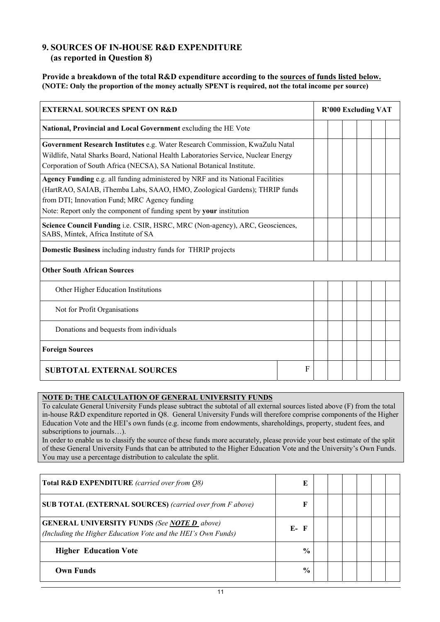## **9. SOURCES OF IN-HOUSE R&D EXPENDITURE (as reported in Question 8)**

## **Provide a breakdown of the total R&D expenditure according to the sources of funds listed below. (NOTE: Only the proportion of the money actually SPENT is required, not the total income per source)**

| <b>EXTERNAL SOURCES SPENT ON R&amp;D</b>                                                                                                                                                                                                                                               |   |  |  |  | <b>R'000 Excluding VAT</b> |  |  |  |  |  |
|----------------------------------------------------------------------------------------------------------------------------------------------------------------------------------------------------------------------------------------------------------------------------------------|---|--|--|--|----------------------------|--|--|--|--|--|
| National, Provincial and Local Government excluding the HE Vote                                                                                                                                                                                                                        |   |  |  |  |                            |  |  |  |  |  |
| Government Research Institutes e.g. Water Research Commission, KwaZulu Natal<br>Wildlife, Natal Sharks Board, National Health Laboratories Service, Nuclear Energy<br>Corporation of South Africa (NECSA), SA National Botanical Institute.                                            |   |  |  |  |                            |  |  |  |  |  |
| Agency Funding e.g. all funding administered by NRF and its National Facilities<br>(HartRAO, SAIAB, iThemba Labs, SAAO, HMO, Zoological Gardens); THRIP funds<br>from DTI; Innovation Fund; MRC Agency funding<br>Note: Report only the component of funding spent by your institution |   |  |  |  |                            |  |  |  |  |  |
| Science Council Funding i.e. CSIR, HSRC, MRC (Non-agency), ARC, Geosciences,<br>SABS, Mintek, Africa Institute of SA                                                                                                                                                                   |   |  |  |  |                            |  |  |  |  |  |
| <b>Domestic Business including industry funds for THRIP projects</b>                                                                                                                                                                                                                   |   |  |  |  |                            |  |  |  |  |  |
| <b>Other South African Sources</b>                                                                                                                                                                                                                                                     |   |  |  |  |                            |  |  |  |  |  |
| Other Higher Education Institutions                                                                                                                                                                                                                                                    |   |  |  |  |                            |  |  |  |  |  |
| Not for Profit Organisations                                                                                                                                                                                                                                                           |   |  |  |  |                            |  |  |  |  |  |
| Donations and bequests from individuals                                                                                                                                                                                                                                                |   |  |  |  |                            |  |  |  |  |  |
| <b>Foreign Sources</b>                                                                                                                                                                                                                                                                 |   |  |  |  |                            |  |  |  |  |  |
| <b>SUBTOTAL EXTERNAL SOURCES</b>                                                                                                                                                                                                                                                       | F |  |  |  |                            |  |  |  |  |  |

## **NOTE D: THE CALCULATION OF GENERAL UNIVERSITY FUNDS**

To calculate General University Funds please subtract the subtotal of all external sources listed above (F) from the total in-house R&D expenditure reported in Q8. General University Funds will therefore comprise components of the Higher Education Vote and the HEI's own funds (e.g. income from endowments, shareholdings, property, student fees, and subscriptions to journals…).

In order to enable us to classify the source of these funds more accurately, please provide your best estimate of the split of these General University Funds that can be attributed to the Higher Education Vote and the University's Own Funds. You may use a percentage distribution to calculate the split.

| Total R&D EXPENDITURE (carried over from O8)                                                                               |               |  |  |  |
|----------------------------------------------------------------------------------------------------------------------------|---------------|--|--|--|
| <b>SUB TOTAL (EXTERNAL SOURCES)</b> (carried over from F above)                                                            |               |  |  |  |
| <b>GENERAL UNIVERSITY FUNDS (See <u>NOTE D</u>_above)</b><br>(Including the Higher Education Vote and the HEI's Own Funds) | $E - F$       |  |  |  |
| <b>Higher Education Vote</b>                                                                                               | $\frac{0}{0}$ |  |  |  |
| <b>Own Funds</b>                                                                                                           | $\frac{0}{0}$ |  |  |  |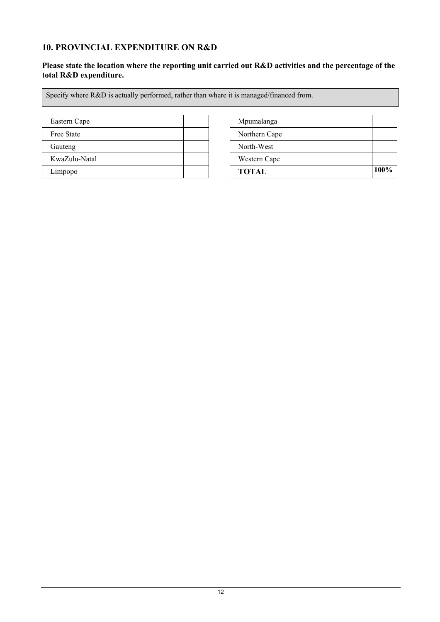# **10. PROVINCIAL EXPENDITURE ON R&D**

## **Please state the location where the reporting unit carried out R&D activities and the percentage of the total R&D expenditure.**

Specify where R&D is actually performed, rather than where it is managed/financed from.

| Eastern Cape  | Mpumalanga    |
|---------------|---------------|
| Free State    | Northern Cape |
| Gauteng       | North-West    |
| KwaZulu-Natal | Western Cape  |
| Limpopo       | <b>TOTAL</b>  |

| Eastern Cape  | Mpumalanga    |      |
|---------------|---------------|------|
| Free State    | Northern Cape |      |
| Gauteng       | North-West    |      |
| KwaZulu-Natal | Western Cape  |      |
| Limpopo       | <b>TOTAL</b>  | 100% |
|               |               |      |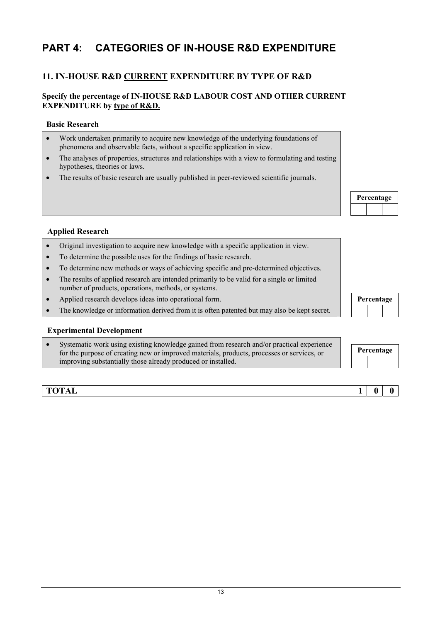# **PART 4: CATEGORIES OF IN-HOUSE R&D EXPENDITURE**

# **11. IN-HOUSE R&D CURRENT EXPENDITURE BY TYPE OF R&D**

## **Specify the percentage of IN-HOUSE R&D LABOUR COST AND OTHER CURRENT EXPENDITURE by type of R&D.**

## **Basic Research**

- Work undertaken primarily to acquire new knowledge of the underlying foundations of phenomena and observable facts, without a specific application in view.
- The analyses of properties, structures and relationships with a view to formulating and testing hypotheses, theories or laws.
- The results of basic research are usually published in peer-reviewed scientific journals.



## **Applied Research**

- Original investigation to acquire new knowledge with a specific application in view.
- To determine the possible uses for the findings of basic research.
- To determine new methods or ways of achieving specific and pre-determined objectives.
- The results of applied research are intended primarily to be valid for a single or limited number of products, operations, methods, or systems.
- Applied research develops ideas into operational form.
- The knowledge or information derived from it is often patented but may also be kept secret.

## **Experimental Development**

Systematic work using existing knowledge gained from research and/or practical experience for the purpose of creating new or improved materials, products, processes or services, or improving substantially those already produced or installed.

**Percentage** 

| Percentage |  |  |  |  |
|------------|--|--|--|--|
|            |  |  |  |  |

**TOTAL** 1 | 0 | 0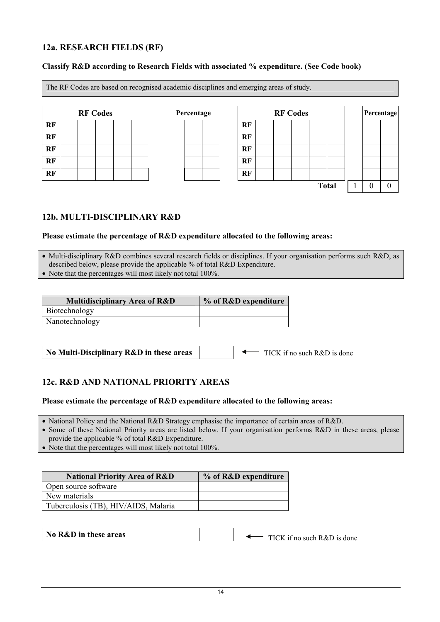## **12a. RESEARCH FIELDS (RF)**

## **Classify R&D according to Research Fields with associated % expenditure. (See Code book)**

The RF Codes are based on recognised academic disciplines and emerging areas of study.

|           | <b>RF Codes</b> |  |  | Percentage |  |    |
|-----------|-----------------|--|--|------------|--|----|
| <b>RF</b> |                 |  |  |            |  | RF |
| RF        |                 |  |  |            |  | RF |
| RF        |                 |  |  |            |  | RF |
| RF        |                 |  |  |            |  | RF |
| RF        |                 |  |  |            |  | RF |

| <b>RF Codes</b> | Percentage |    | <b>RF Codes</b> |  |  |  |              | Percentage |  |
|-----------------|------------|----|-----------------|--|--|--|--------------|------------|--|
|                 |            | RF |                 |  |  |  |              |            |  |
|                 |            | RF |                 |  |  |  |              |            |  |
|                 |            | RF |                 |  |  |  |              |            |  |
|                 |            | RF |                 |  |  |  |              |            |  |
|                 |            | RF |                 |  |  |  |              |            |  |
|                 |            |    |                 |  |  |  | <b>Total</b> |            |  |

# **12b. MULTI-DISCIPLINARY R&D**

## **Please estimate the percentage of R&D expenditure allocated to the following areas:**

• Multi-disciplinary R&D combines several research fields or disciplines. If your organisation performs such R&D, as described below, please provide the applicable % of total R&D Expenditure.

• Note that the percentages will most likely not total 100%.

| <b>Multidisciplinary Area of R&amp;D</b> | % of R&D expenditure |
|------------------------------------------|----------------------|
| Biotechnology                            |                      |
| Nanotechnology                           |                      |

**No Multi-Disciplinary R&D in these areas**

TICK if no such R&D is done

## **12c. R&D AND NATIONAL PRIORITY AREAS**

## **Please estimate the percentage of R&D expenditure allocated to the following areas:**

• National Policy and the National R&D Strategy emphasise the importance of certain areas of R&D.

• Some of these National Priority areas are listed below. If your organisation performs R&D in these areas, please provide the applicable % of total R&D Expenditure.

• Note that the percentages will most likely not total 100%.

| <b>National Priority Area of R&amp;D</b> | % of R&D expenditure |
|------------------------------------------|----------------------|
| Open source software                     |                      |
| New materials                            |                      |
| Tuberculosis (TB), HIV/AIDS, Malaria     |                      |